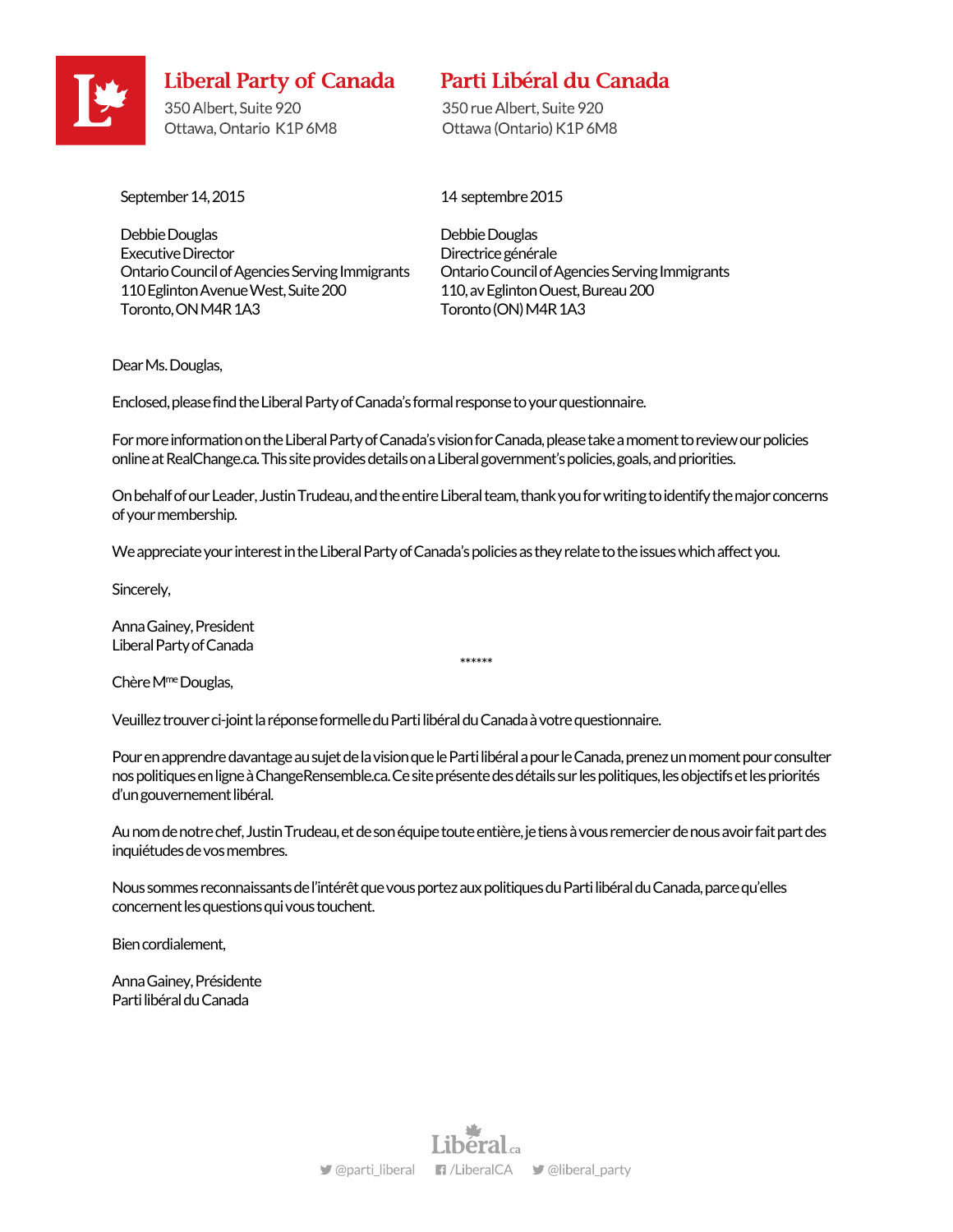

**Liberal Party of Canada** 

350 Albert, Suite 920 Ottawa, Ontario K1P 6M8

### Parti Libéral du Canada

350 rue Albert. Suite 920 Ottawa (Ontario) K1P 6M8

September 14,2015

Debbie Douglas Executive Director Ontario Council of Agencies Serving Immigrants 110 Eglinton Avenue West, Suite 200 Toronto, ON M4R 1A3

14 septembre 2015

Debbie Douglas Directrice générale Ontario Council of Agencies Serving Immigrants 110, av Eglinton Ouest, Bureau 200 Toronto (ON) M4R 1A3

Dear Ms. Douglas,

Enclosed, please find the Liberal Party of Canada's formal response to your questionnaire.

For more information on the Liberal Party of Canada's vision for Canada, please take a moment to review our policies online at RealChange.ca. This site provides details on a Liberal government's policies, goals, and priorities.

On behalf of our Leader, Justin Trudeau, and the entire Liberal team, thank you for writing to identify the major concerns of your membership.

We appreciate your interest in the Liberal Party of Canada's policies as they relate to the issues which affect you.

Sincerely,

Anna Gainey, President Liberal Party of Canada

\*\*\*\*\*\*

Chère M<sup>me</sup> Douglas,

Veuillez trouver ci-joint la réponse formelle du Parti libéral du Canada à votre questionnaire.

Pour en apprendre davantage au sujet de la vision que le Parti libéral a pour le Canada, prenez un moment pour consulter nos politiques en ligne à ChangeRensemble.ca. Ce site présente des détails sur les politiques, les objectifs et les priorités d'ungouvernement libéral.

Au nom denotre chef, Justin Trudeau, et de son équipe toute entière, je tiens à vous remercier de nous avoir fait part des inquiétudes de vos membres.

Nous sommes reconnaissants de l'intérêt que vous portez aux politiques du Parti libéraldu Canada, parce qu'elles concernent les questions qui vous touchent.

Bien cordialement,

Anna Gainey, Présidente Parti libéral du Canada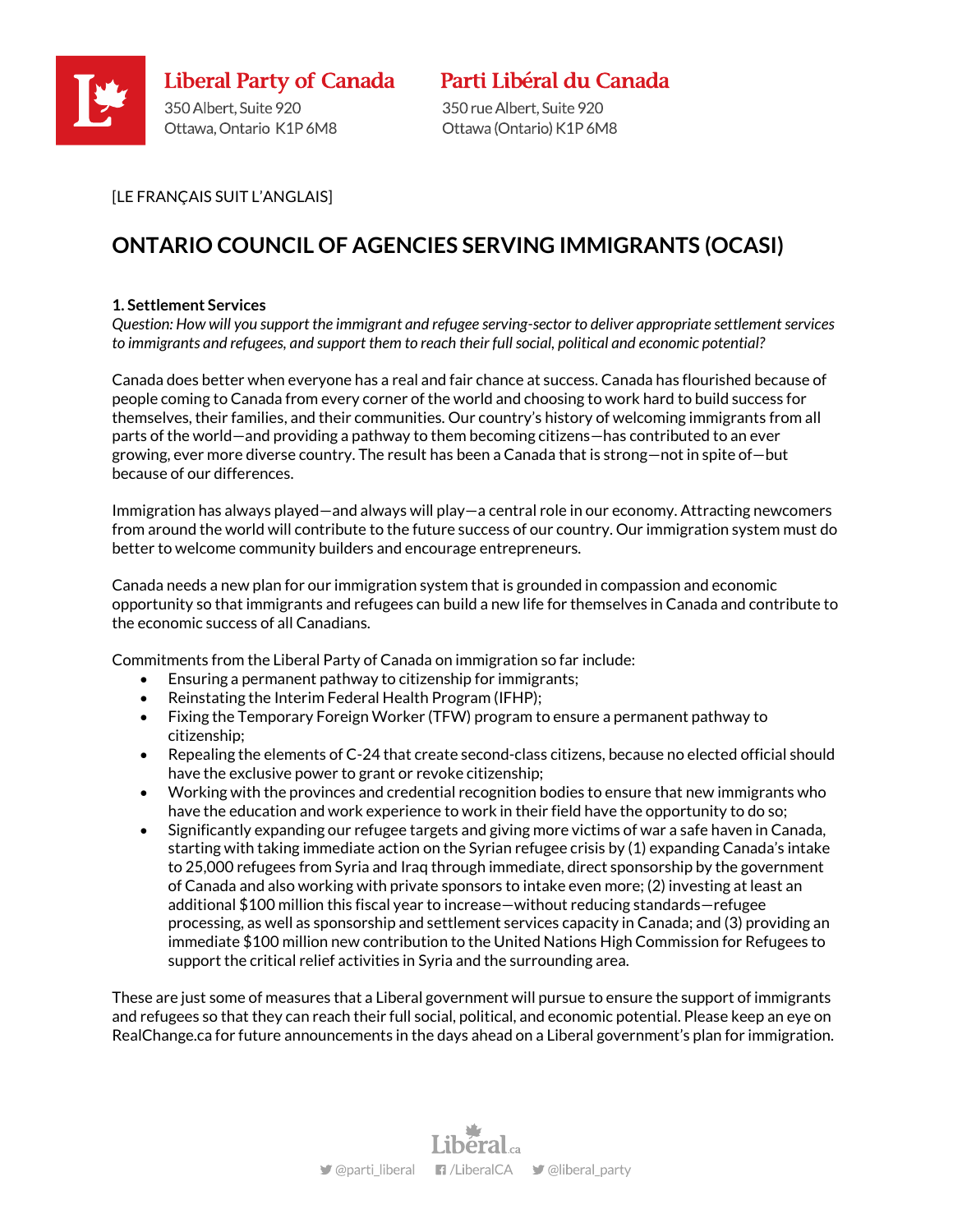

Parti Libéral du Canada

350 rue Albert. Suite 920 Ottawa (Ontario) K1P 6M8

[LE FRANÇAIS SUIT L'ANGLAIS]

# **ONTARIO COUNCIL OF AGENCIES SERVING IMMIGRANTS (OCASI)**

#### **1. Settlement Services**

*Question: How will you support the immigrant and refugee serving-sector to deliver appropriate settlement services to immigrants and refugees, and support them to reach their full social, political and economic potential?*

Canada does better when everyone has a real and fair chance at success. Canada has flourished because of people coming to Canada from every corner of the world and choosing to work hard to build success for themselves, their families, and their communities. Our country's history of welcoming immigrants from all parts of the world—and providing a pathway to them becoming citizens—has contributed to an ever growing, ever more diverse country. The result has been a Canada that is strong—not in spite of—but because of our differences.

Immigration has always played—and always will play—a central role in our economy. Attracting newcomers from around the world will contribute to the future success of our country. Our immigration system must do better to welcome community builders and encourage entrepreneurs.

Canada needs a new plan for our immigration system that is grounded in compassion and economic opportunity so that immigrants and refugees can build a new life for themselves in Canada and contribute to the economic success of all Canadians.

Commitments from the Liberal Party of Canada on immigration so far include:

- Ensuring a permanent pathway to citizenship for immigrants;
- Reinstating the Interim Federal Health Program (IFHP);
- Fixing the Temporary Foreign Worker (TFW) program to ensure a permanent pathway to citizenship;
- Repealing the elements of C-24 that create second-class citizens, because no elected official should have the exclusive power to grant or revoke citizenship;
- Working with the provinces and credential recognition bodies to ensure that new immigrants who have the education and work experience to work in their field have the opportunity to do so;
- Significantly expanding our refugee targets and giving more victims of war a safe haven in Canada, starting with taking immediate action on the Syrian refugee crisis by (1) expanding Canada's intake to 25,000 refugees from Syria and Iraq through immediate, direct sponsorship by the government of Canada and also working with private sponsors to intake even more; (2) investing at least an additional \$100 million this fiscal year to increase—without reducing standards—refugee processing, as well as sponsorship and settlement services capacity in Canada; and (3) providing an immediate \$100 million new contribution to the United Nations High Commission for Refugees to support the critical relief activities in Syria and the surrounding area.

These are just some of measures that a Liberal government will pursue to ensure the support of immigrants and refugees so that they can reach their full social, political, and economic potential. Please keep an eye on RealChange.ca for future announcements in the days ahead on a Liberal government's plan for immigration.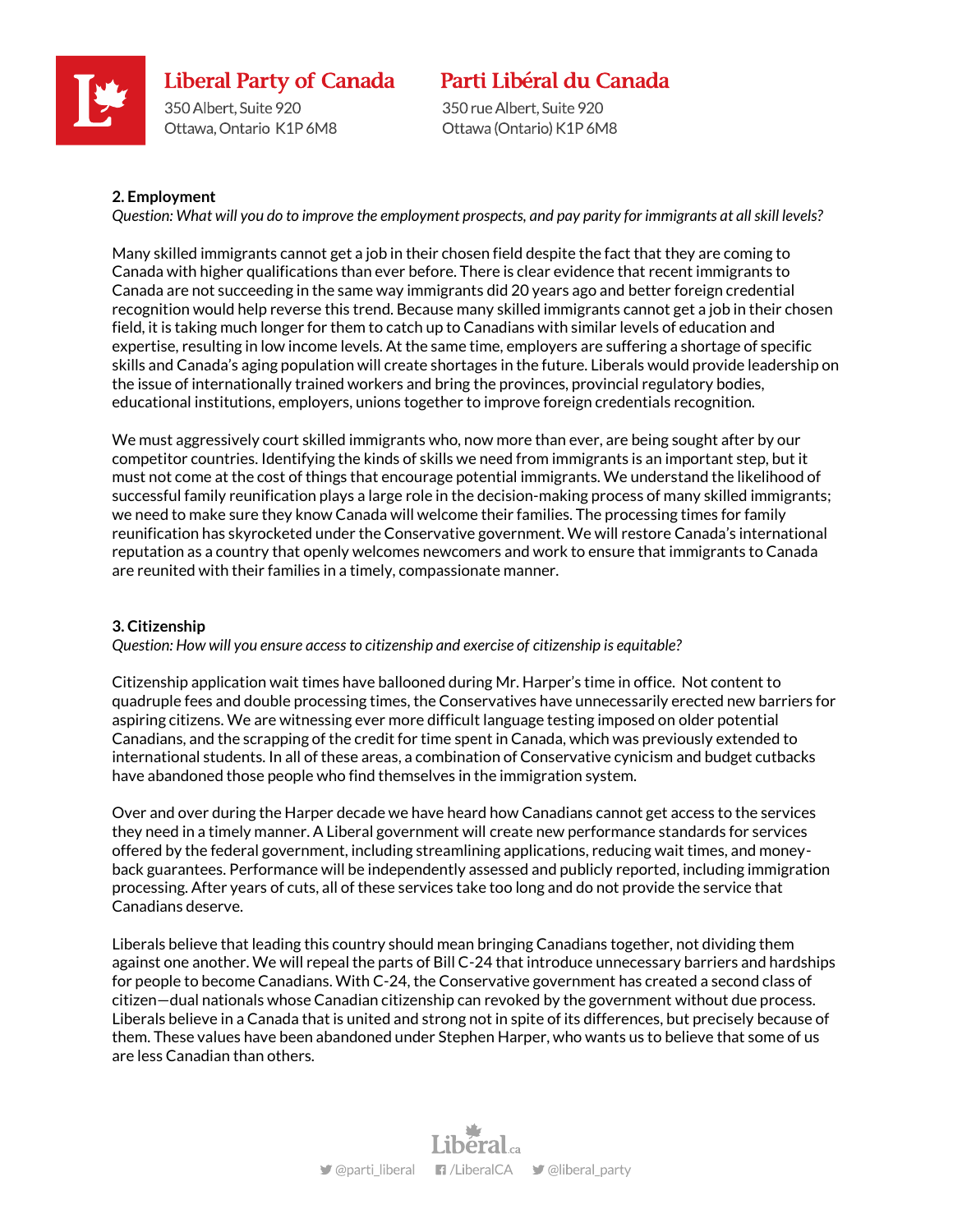

### Parti Libéral du Canada

350 rue Albert. Suite 920 Ottawa (Ontario) K1P 6M8

### **2. Employment**

*Question: What will you do to improve the employment prospects, and pay parity for immigrants at all skill levels?*

Many skilled immigrants cannot get a job in their chosen field despite the fact that they are coming to Canada with higher qualifications than ever before. There is clear evidence that recent immigrants to Canada are not succeeding in the same way immigrants did 20 years ago and better foreign credential recognition would help reverse this trend. Because many skilled immigrants cannot get a job in their chosen field, it is taking much longer for them to catch up to Canadians with similar levels of education and expertise, resulting in low income levels. At the same time, employers are suffering a shortage of specific skills and Canada's aging population will create shortages in the future. Liberals would provide leadership on the issue of internationally trained workers and bring the provinces, provincial regulatory bodies, educational institutions, employers, unions together to improve foreign credentials recognition.

We must aggressively court skilled immigrants who, now more than ever, are being sought after by our competitor countries. Identifying the kinds of skills we need from immigrants is an important step, but it must not come at the cost of things that encourage potential immigrants. We understand the likelihood of successful family reunification plays a large role in the decision-making process of many skilled immigrants; we need to make sure they know Canada will welcome their families. The processing times for family reunification has skyrocketed under the Conservative government. We will restore Canada's international reputation as a country that openly welcomes newcomers and work to ensure that immigrants to Canada are reunited with their families in a timely, compassionate manner.

### **3. Citizenship**

*Question: How will you ensure access to citizenship and exercise of citizenship is equitable?*

Citizenship application wait times have ballooned during Mr. Harper's time in office. Not content to quadruple fees and double processing times, the Conservatives have unnecessarily erected new barriers for aspiring citizens. We are witnessing ever more difficult language testing imposed on older potential Canadians, and the scrapping of the credit for time spent in Canada, which was previously extended to international students. In all of these areas, a combination of Conservative cynicism and budget cutbacks have abandoned those people who find themselves in the immigration system.

Over and over during the Harper decade we have heard how Canadians cannot get access to the services they need in a timely manner. A Liberal government will create new performance standards for services offered by the federal government, including streamlining applications, reducing wait times, and moneyback guarantees. Performance will be independently assessed and publicly reported, including immigration processing. After years of cuts, all of these services take too long and do not provide the service that Canadians deserve.

Liberals believe that leading this country should mean bringing Canadians together, not dividing them against one another. We will repeal the parts of Bill C-24 that introduce unnecessary barriers and hardships for people to become Canadians. With C-24, the Conservative government has created a second class of citizen—dual nationals whose Canadian citizenship can revoked by the government without due process. Liberals believe in a Canada that is united and strong not in spite of its differences, but precisely because of them. These values have been abandoned under Stephen Harper, who wants us to believe that some of us are less Canadian than others.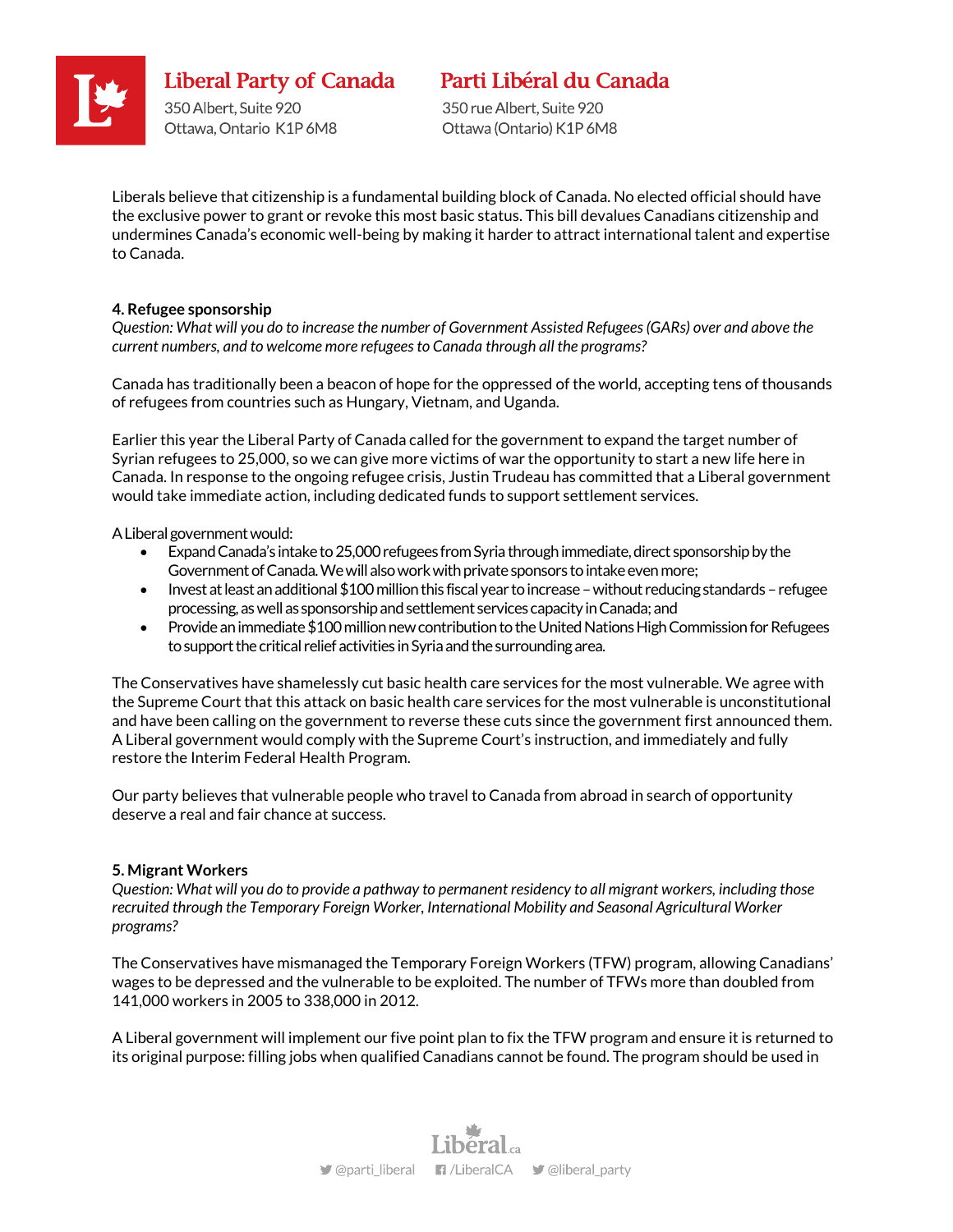

## Parti Libéral du Canada

350 rue Albert. Suite 920 Ottawa (Ontario) K1P 6M8

Liberals believe that citizenship is a fundamental building block of Canada. No elected official should have the exclusive power to grant or revoke this most basic status. This bill devalues Canadians citizenship and undermines Canada's economic well-being by making it harder to attract international talent and expertise to Canada.

#### **4. Refugee sponsorship**

*Question: What will you do to increase the number of Government Assisted Refugees (GARs) over and above the current numbers, and to welcome more refugees to Canada through all the programs?*

Canada has traditionally been a beacon of hope for the oppressed of the world, accepting tens of thousands of refugees from countries such as Hungary, Vietnam, and Uganda.

Earlier this year the Liberal Party of Canada called for the government to expand the target number of Syrian refugees to 25,000, so we can give more victims of war the opportunity to start a new life here in Canada. In response to the ongoing refugee crisis, Justin Trudeau has committed that a Liberal government would take immediate action, including dedicated funds to support settlement services.

A Liberal government would:

- Expand Canada's intake to 25,000 refugees from Syria through immediate, direct sponsorship by the Government of Canada. We will also work with private sponsors to intake even more;
- Invest at least an additional \$100 million this fiscal year to increase without reducing standards refugee processing, as well as sponsorship and settlement services capacity in Canada; and
- Provide an immediate \$100 million new contribution to the United Nations High Commission for Refugees to support the critical relief activities in Syria and the surrounding area.

The Conservatives have shamelessly cut basic health care services for the most vulnerable. We agree with the Supreme Court that this attack on basic health care services for the most vulnerable is unconstitutional and have been calling on the government to reverse these cuts since the government first announced them. A Liberal government would comply with the Supreme Court's instruction, and immediately and fully restore the Interim Federal Health Program.

Our party believes that vulnerable people who travel to Canada from abroad in search of opportunity deserve a real and fair chance at success.

#### **5. Migrant Workers**

*Question: What will you do to provide a pathway to permanent residency to all migrant workers, including those recruited through the Temporary Foreign Worker, International Mobility and Seasonal Agricultural Worker programs?*

The Conservatives have mismanaged the Temporary Foreign Workers (TFW) program, allowing Canadians' wages to be depressed and the vulnerable to be exploited. The number of TFWs more than doubled from 141,000 workers in 2005 to 338,000 in 2012.

A Liberal government will implement our five point plan to fix the TFW program and ensure it is returned to its original purpose: filling jobs when qualified Canadians cannot be found. The program should be used in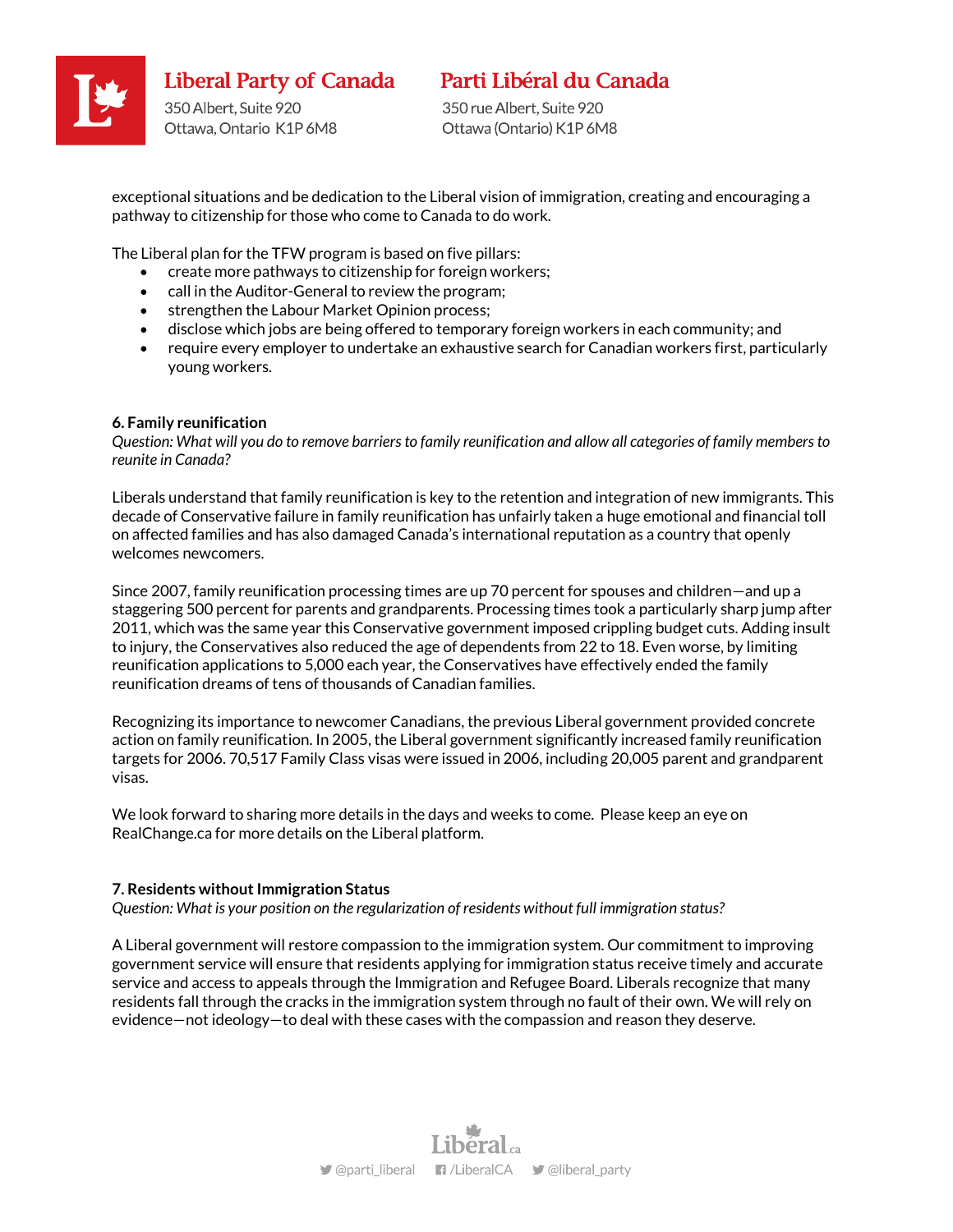

## Parti Libéral du Canada

350 rue Albert. Suite 920 Ottawa (Ontario) K1P 6M8

exceptional situations and be dedication to the Liberal vision of immigration, creating and encouraging a pathway to citizenship for those who come to Canada to do work.

The Liberal plan for the TFW program is based on five pillars:

- create more pathways to citizenship for foreign workers;
- call in the Auditor-General to review the program;
- strengthen the Labour Market Opinion process;
- disclose which jobs are being offered to temporary foreign workers in each community; and
- require every employer to undertake an exhaustive search for Canadian workers first, particularly young workers.

### **6. Family reunification**

*Question: What will you do to remove barriers to family reunification and allow all categories of family members to reunite in Canada?*

Liberals understand that family reunification is key to the retention and integration of new immigrants. This decade of Conservative failure in family reunification has unfairly taken a huge emotional and financial toll on affected families and has also damaged Canada's international reputation as a country that openly welcomes newcomers.

Since 2007, family reunification processing times are up 70 percent for spouses and children—and up a staggering 500 percent for parents and grandparents. Processing times took a particularly sharp jump after 2011, which was the same year this Conservative government imposed crippling budget cuts. Adding insult to injury, the Conservatives also reduced the age of dependents from 22 to 18. Even worse, by limiting reunification applications to 5,000 each year, the Conservatives have effectively ended the family reunification dreams of tens of thousands of Canadian families.

Recognizing its importance to newcomer Canadians, the previous Liberal government provided concrete action on family reunification. In 2005, the Liberal government significantly increased family reunification targets for 2006. 70,517 Family Class visas were issued in 2006, including 20,005 parent and grandparent visas.

We look forward to sharing more details in the days and weeks to come. Please keep an eye on RealChange.ca for more details on the Liberal platform.

### **7. Residents without Immigration Status**

*Question: What is your position on the regularization of residents without full immigration status?* 

A Liberal government will restore compassion to the immigration system. Our commitment to improving government service will ensure that residents applying for immigration status receive timely and accurate service and access to appeals through the Immigration and Refugee Board. Liberals recognize that many residents fall through the cracks in the immigration system through no fault of their own. We will rely on evidence—not ideology—to deal with these cases with the compassion and reason they deserve.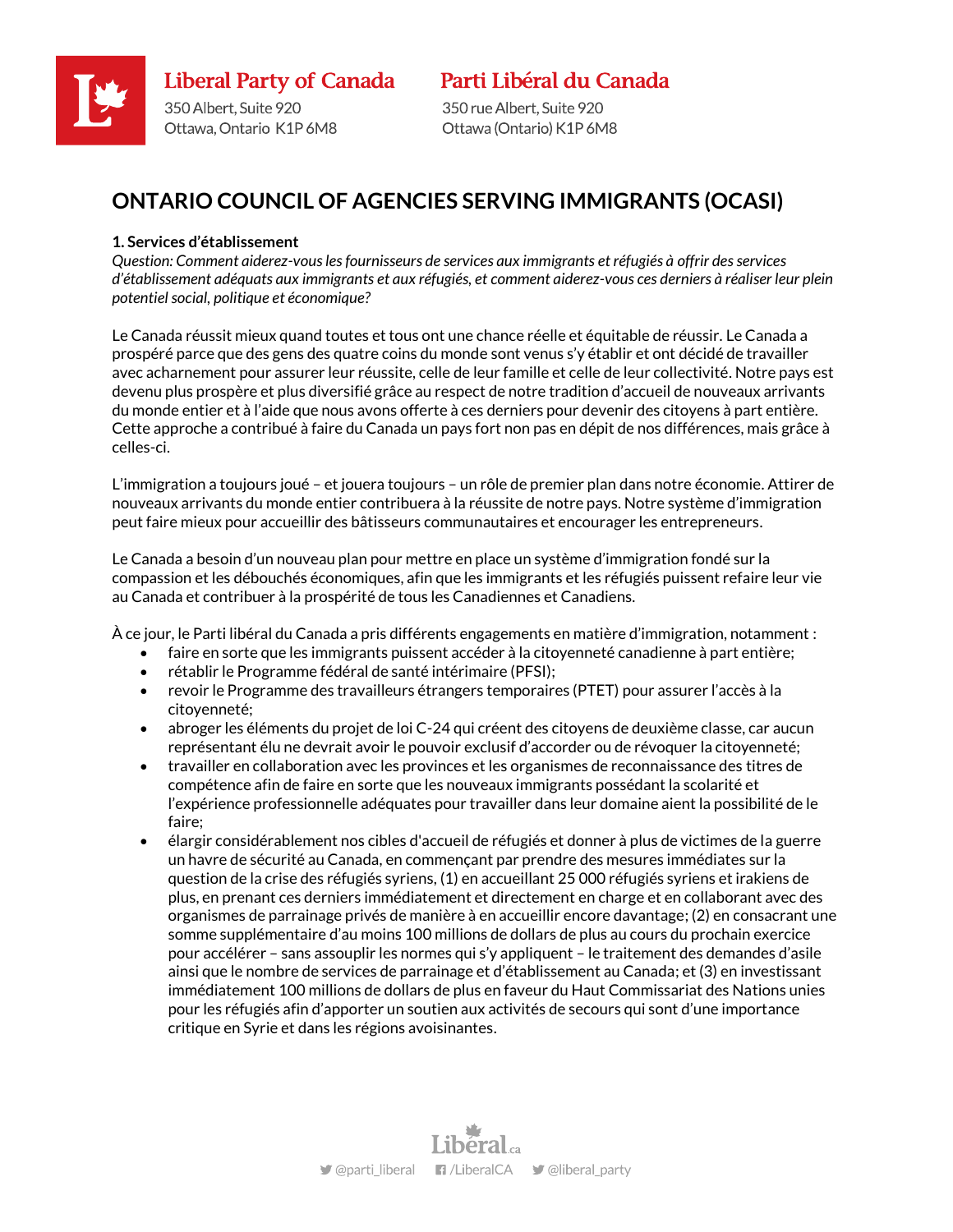

Parti Libéral du Canada

350 rue Albert. Suite 920 Ottawa (Ontario) K1P 6M8

# **ONTARIO COUNCIL OF AGENCIES SERVING IMMIGRANTS (OCASI)**

#### **1. Services d'établissement**

*Question: Comment aiderez-vous les fournisseurs de services aux immigrants et réfugiés à offrir des services d'établissement adéquats aux immigrants et aux réfugiés, et comment aiderez-vous ces derniers à réaliser leur plein potentiel social, politique et économique?*

Le Canada réussit mieux quand toutes et tous ont une chance réelle et équitable de réussir. Le Canada a prospéré parce que des gens des quatre coins du monde sont venus s'y établir et ont décidé de travailler avec acharnement pour assurer leur réussite, celle de leur famille et celle de leur collectivité. Notre pays est devenu plus prospère et plus diversifié grâce au respect de notre tradition d'accueil de nouveaux arrivants du monde entier et à l'aide que nous avons offerte à ces derniers pour devenir des citoyens à part entière. Cette approche a contribué à faire du Canada un pays fort non pas en dépit de nos différences, mais grâce à celles-ci.

L'immigration a toujours joué – et jouera toujours – un rôle de premier plan dans notre économie. Attirer de nouveaux arrivants du monde entier contribuera à la réussite de notre pays. Notre système d'immigration peut faire mieux pour accueillir des bâtisseurs communautaires et encourager les entrepreneurs.

Le Canada a besoin d'un nouveau plan pour mettre en place un système d'immigration fondé sur la compassion et les débouchés économiques, afin que les immigrants et les réfugiés puissent refaire leur vie au Canada et contribuer à la prospérité de tous les Canadiennes et Canadiens.

À ce jour, le Parti libéral du Canada a pris différents engagements en matière d'immigration, notamment :

- faire en sorte que les immigrants puissent accéder à la citoyenneté canadienne à part entière;
- rétablir le Programme fédéral de santé intérimaire (PFSI);
- revoir le Programme des travailleurs étrangers temporaires (PTET) pour assurer l'accès à la citoyenneté;
- abroger les éléments du projet de loi C-24 qui créent des citoyens de deuxième classe, car aucun représentant élu ne devrait avoir le pouvoir exclusif d'accorder ou de révoquer la citoyenneté;
- travailler en collaboration avec les provinces et les organismes de reconnaissance des titres de compétence afin de faire en sorte que les nouveaux immigrants possédant la scolarité et l'expérience professionnelle adéquates pour travailler dans leur domaine aient la possibilité de le faire;
- élargir considérablement nos cibles d'accueil de réfugiés et donner à plus de victimes de la guerre un havre de sécurité au Canada, en commençant par prendre des mesures immédiates sur la question de la crise des réfugiés syriens, (1) en accueillant 25 000 réfugiés syriens et irakiens de plus, en prenant ces derniers immédiatement et directement en charge et en collaborant avec des organismes de parrainage privés de manière à en accueillir encore davantage; (2) en consacrant une somme supplémentaire d'au moins 100 millions de dollars de plus au cours du prochain exercice pour accélérer – sans assouplir les normes qui s'y appliquent – le traitement des demandes d'asile ainsi que le nombre de services de parrainage et d'établissement au Canada; et (3) en investissant immédiatement 100 millions de dollars de plus en faveur du Haut Commissariat des Nations unies pour les réfugiés afin d'apporter un soutien aux activités de secours qui sont d'une importance critique en Syrie et dans les régions avoisinantes.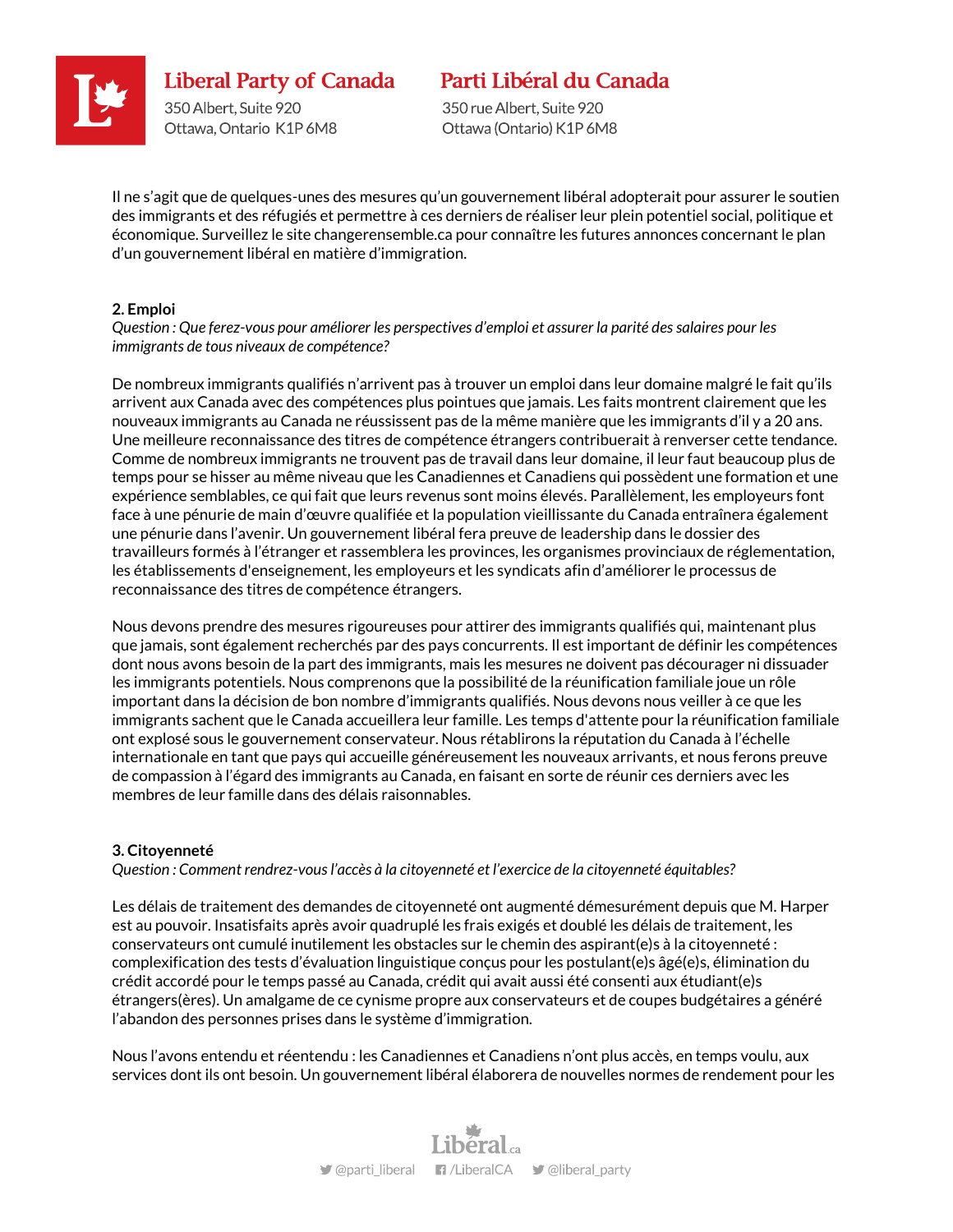

## Parti Libéral du Canada

350 rue Albert. Suite 920 Ottawa (Ontario) K1P 6M8

Il ne s'agit que de quelques-unes des mesures qu'un gouvernement libéral adopterait pour assurer le soutien des immigrants et des réfugiés et permettre à ces derniers de réaliser leur plein potentiel social, politique et économique. Surveillez le site changerensemble.ca pour connaître les futures annonces concernant le plan d'un gouvernement libéral en matière d'immigration.

### **2. Emploi**

*Question : Que ferez-vous pour améliorer les perspectives d'emploi et assurer la parité des salaires pour les immigrants de tous niveaux de compétence?* 

De nombreux immigrants qualifiés n'arrivent pas à trouver un emploi dans leur domaine malgré le fait qu'ils arrivent aux Canada avec des compétences plus pointues que jamais. Les faits montrent clairement que les nouveaux immigrants au Canada ne réussissent pas de la même manière que les immigrants d'il y a 20 ans. Une meilleure reconnaissance des titres de compétence étrangers contribuerait à renverser cette tendance. Comme de nombreux immigrants ne trouvent pas de travail dans leur domaine, il leur faut beaucoup plus de temps pour se hisser au même niveau que les Canadiennes et Canadiens qui possèdent une formation et une expérience semblables, ce qui fait que leurs revenus sont moins élevés. Parallèlement, les employeurs font face à une pénurie de main d'œuvre qualifiée et la population vieillissante du Canada entraînera également une pénurie dans l'avenir. Un gouvernement libéral fera preuve de leadership dans le dossier des travailleurs formés à l'étranger et rassemblera les provinces, les organismes provinciaux de réglementation, les établissements d'enseignement, les employeurs et les syndicats afin d'améliorer le processus de reconnaissance des titres de compétence étrangers.

Nous devons prendre des mesures rigoureuses pour attirer des immigrants qualifiés qui, maintenant plus que jamais, sont également recherchés par des pays concurrents. Il est important de définir les compétences dont nous avons besoin de la part des immigrants, mais les mesures ne doivent pas décourager ni dissuader les immigrants potentiels. Nous comprenons que la possibilité de la réunification familiale joue un rôle important dans la décision de bon nombre d'immigrants qualifiés. Nous devons nous veiller à ce que les immigrants sachent que le Canada accueillera leur famille. Les temps d'attente pour la réunification familiale ont explosé sous le gouvernement conservateur. Nous rétablirons la réputation du Canada à l'échelle internationale en tant que pays qui accueille généreusement les nouveaux arrivants, et nous ferons preuve de compassion à l'égard des immigrants au Canada, en faisant en sorte de réunir ces derniers avec les membres de leur famille dans des délais raisonnables.

#### **3. Citoyenneté**

*Question : Comment rendrez-vous l'accès à la citoyenneté et l'exercice de la citoyenneté équitables?*

Les délais de traitement des demandes de citoyenneté ont augmenté démesurément depuis que M. Harper est au pouvoir. Insatisfaits après avoir quadruplé les frais exigés et doublé les délais de traitement, les conservateurs ont cumulé inutilement les obstacles sur le chemin des aspirant(e)s à la citoyenneté : complexification des tests d'évaluation linguistique conçus pour les postulant(e)s âgé(e)s, élimination du crédit accordé pour le temps passé au Canada, crédit qui avait aussi été consenti aux étudiant(e)s étrangers(ères). Un amalgame de ce cynisme propre aux conservateurs et de coupes budgétaires a généré l'abandon des personnes prises dans le système d'immigration.

Nous l'avons entendu et réentendu : les Canadiennes et Canadiens n'ont plus accès, en temps voulu, aux services dont ils ont besoin. Un gouvernement libéral élaborera de nouvelles normes de rendement pour les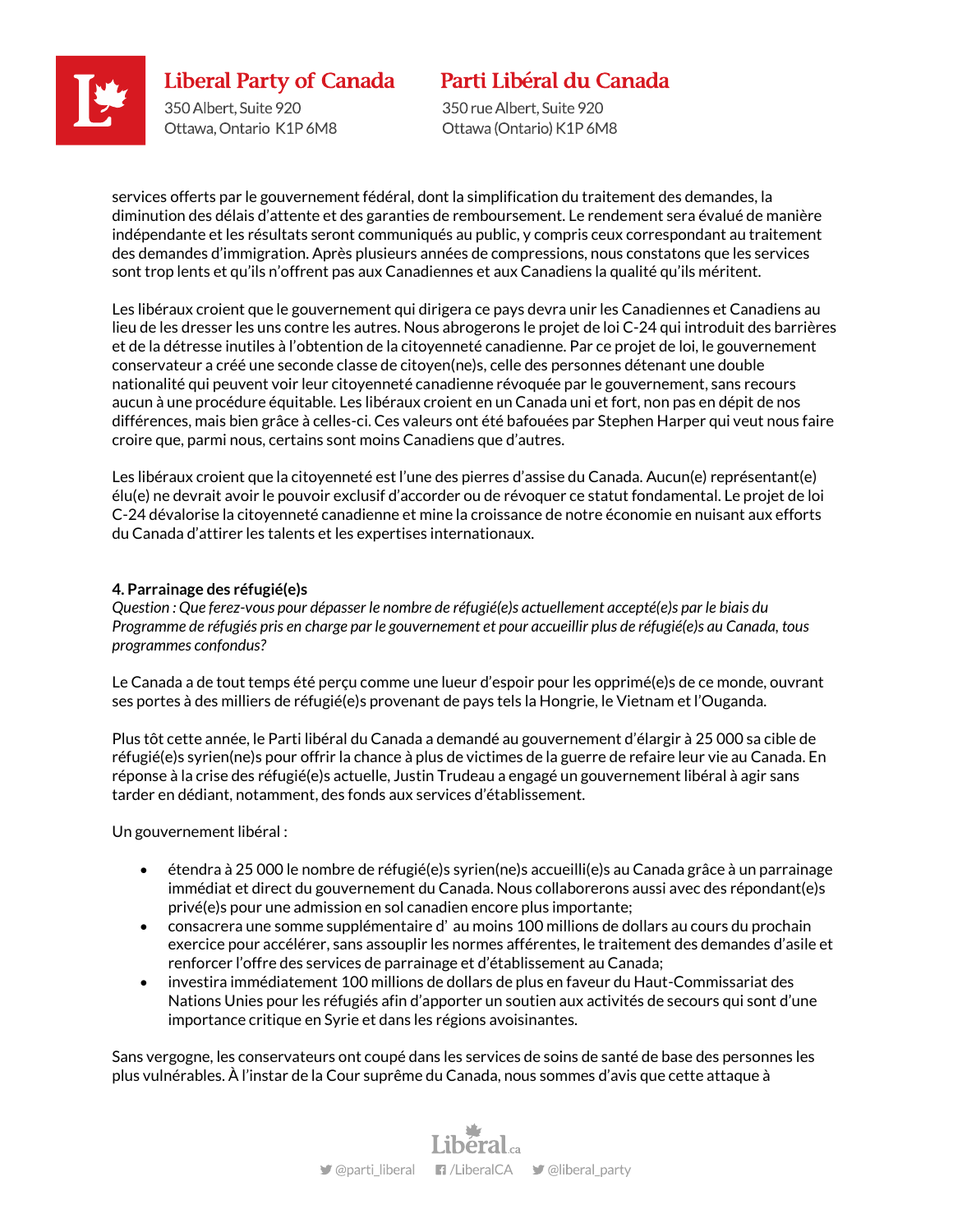

## Parti Libéral du Canada

350 rue Albert. Suite 920 Ottawa (Ontario) K1P 6M8

services offerts par le gouvernement fédéral, dont la simplification du traitement des demandes, la diminution des délais d'attente et des garanties de remboursement. Le rendement sera évalué de manière indépendante et les résultats seront communiqués au public, y compris ceux correspondant au traitement des demandes d'immigration. Après plusieurs années de compressions, nous constatons que les services sont trop lents et qu'ils n'offrent pas aux Canadiennes et aux Canadiens la qualité qu'ils méritent.

Les libéraux croient que le gouvernement qui dirigera ce pays devra unir les Canadiennes et Canadiens au lieu de les dresser les uns contre les autres. Nous abrogerons le projet de loi C-24 qui introduit des barrières et de la détresse inutiles à l'obtention de la citoyenneté canadienne. Par ce projet de loi, le gouvernement conservateur a créé une seconde classe de citoyen(ne)s, celle des personnes détenant une double nationalité qui peuvent voir leur citoyenneté canadienne révoquée par le gouvernement, sans recours aucun à une procédure équitable. Les libéraux croient en un Canada uni et fort, non pas en dépit de nos différences, mais bien grâce à celles-ci. Ces valeurs ont été bafouées par Stephen Harper qui veut nous faire croire que, parmi nous, certains sont moins Canadiens que d'autres.

Les libéraux croient que la citoyenneté est l'une des pierres d'assise du Canada. Aucun(e) représentant(e) élu(e) ne devrait avoir le pouvoir exclusif d'accorder ou de révoquer ce statut fondamental. Le projet de loi C-24 dévalorise la citoyenneté canadienne et mine la croissance de notre économie en nuisant aux efforts du Canada d'attirer les talents et les expertises internationaux.

#### **4. Parrainage des réfugié(e)s**

*Question : Que ferez-vous pour dépasser le nombre de réfugié(e)s actuellement accepté(e)s par le biais du Programme de réfugiés pris en charge par le gouvernement et pour accueillir plus de réfugié(e)s au Canada, tous programmes confondus?*

Le Canada a de tout temps été perçu comme une lueur d'espoir pour les opprimé(e)s de ce monde, ouvrant ses portes à des milliers de réfugié(e)s provenant de pays tels la Hongrie, le Vietnam et l'Ouganda.

Plus tôt cette année, le Parti libéral du Canada a demandé au gouvernement d'élargir à 25 000 sa cible de réfugié(e)s syrien(ne)s pour offrir la chance à plus de victimes de la guerre de refaire leur vie au Canada. En réponse à la crise des réfugié(e)s actuelle, Justin Trudeau a engagé un gouvernement libéral à agir sans tarder en dédiant, notamment, des fonds aux services d'établissement.

Un gouvernement libéral :

- étendra à 25 000 le nombre de réfugié(e)s syrien(ne)s accueilli(e)s au Canada grâce à un parrainage immédiat et direct du gouvernement du Canada. Nous collaborerons aussi avec des répondant(e)s privé(e)s pour une admission en sol canadien encore plus importante;
- consacrera une somme supplémentaire d' au moins 100 millions de dollars au cours du prochain exercice pour accélérer, sans assouplir les normes afférentes, le traitement des demandes d'asile et renforcer l'offre des services de parrainage et d'établissement au Canada;
- investira immédiatement 100 millions de dollars de plus en faveur du Haut-Commissariat des Nations Unies pour les réfugiés afin d'apporter un soutien aux activités de secours qui sont d'une importance critique en Syrie et dans les régions avoisinantes.

Sans vergogne, les conservateurs ont coupé dans les services de soins de santé de base des personnes les plus vulnérables. À l'instar de la Cour suprême du Canada, nous sommes d'avis que cette attaque à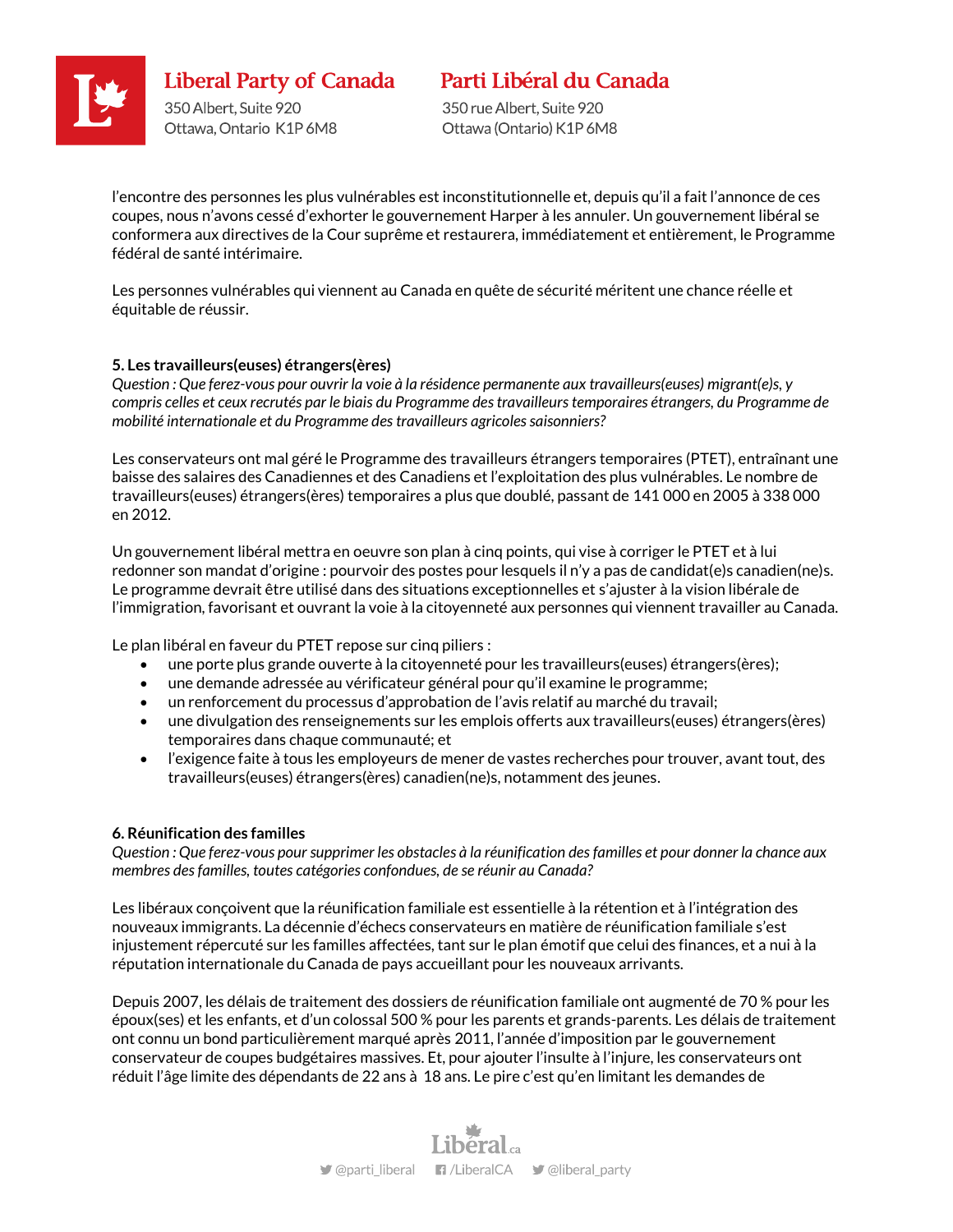

## Parti Libéral du Canada

350 rue Albert. Suite 920 Ottawa (Ontario) K1P 6M8

l'encontre des personnes les plus vulnérables est inconstitutionnelle et, depuis qu'il a fait l'annonce de ces coupes, nous n'avons cessé d'exhorter le gouvernement Harper à les annuler. Un gouvernement libéral se conformera aux directives de la Cour suprême et restaurera, immédiatement et entièrement, le Programme fédéral de santé intérimaire.

Les personnes vulnérables qui viennent au Canada en quête de sécurité méritent une chance réelle et équitable de réussir.

#### **5. Les travailleurs(euses) étrangers(ères)**

*Question : Que ferez-vous pour ouvrir la voie à la résidence permanente aux travailleurs(euses) migrant(e)s, y compris celles et ceux recrutés par le biais du Programme des travailleurs temporaires étrangers, du Programme de mobilité internationale et du Programme des travailleurs agricoles saisonniers?*

Les conservateurs ont mal géré le Programme des travailleurs étrangers temporaires (PTET), entraînant une baisse des salaires des Canadiennes et des Canadiens et l'exploitation des plus vulnérables. Le nombre de travailleurs(euses) étrangers(ères) temporaires a plus que doublé, passant de 141 000 en 2005 à 338 000 en 2012.

Un gouvernement libéral mettra en oeuvre son plan à cinq points, qui vise à corriger le PTET et à lui redonner son mandat d'origine : pourvoir des postes pour lesquels il n'y a pas de candidat(e)s canadien(ne)s. Le programme devrait être utilisé dans des situations exceptionnelles et s'ajuster à la vision libérale de l'immigration, favorisant et ouvrant la voie à la citoyenneté aux personnes qui viennent travailler au Canada.

Le plan libéral en faveur du PTET repose sur cinq piliers :

- une porte plus grande ouverte à la citoyenneté pour les travailleurs(euses) étrangers(ères);
- une demande adressée au vérificateur général pour qu'il examine le programme;
- un renforcement du processus d'approbation de l'avis relatif au marché du travail;
- une divulgation des renseignements sur les emplois offerts aux travailleurs(euses) étrangers(ères) temporaires dans chaque communauté; et
- l'exigence faite à tous les employeurs de mener de vastes recherches pour trouver, avant tout, des travailleurs(euses) étrangers(ères) canadien(ne)s, notamment des jeunes.

#### **6. Réunification des familles**

*Question : Que ferez-vous pour supprimer les obstacles à la réunification des familles et pour donner la chance aux membres des familles, toutes catégories confondues, de se réunir au Canada?*

Les libéraux conçoivent que la réunification familiale est essentielle à la rétention et à l'intégration des nouveaux immigrants. La décennie d'échecs conservateurs en matière de réunification familiale s'est injustement répercuté sur les familles affectées, tant sur le plan émotif que celui des finances, et a nui à la réputation internationale du Canada de pays accueillant pour les nouveaux arrivants.

Depuis 2007, les délais de traitement des dossiers de réunification familiale ont augmenté de 70 % pour les époux(ses) et les enfants, et d'un colossal 500 % pour les parents et grands-parents. Les délais de traitement ont connu un bond particulièrement marqué après 2011, l'année d'imposition par le gouvernement conservateur de coupes budgétaires massives. Et, pour ajouter l'insulte à l'injure, les conservateurs ont réduit l'âge limite des dépendants de 22 ans à 18 ans. Le pire c'est qu'en limitant les demandes de